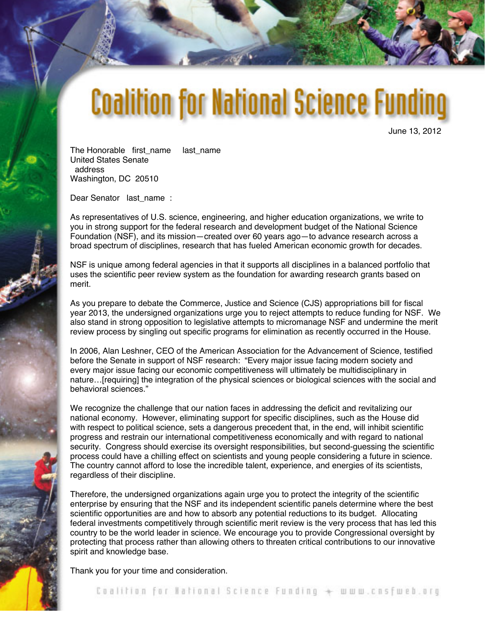## **Coalition for National Science Funding**

June 13, 2012

The Honorable first name last name United States Senate address Washington, DC 20510

Dear Senator last name :

As representatives of U.S. science, engineering, and higher education organizations, we write to you in strong support for the federal research and development budget of the National Science Foundation (NSF), and its mission—created over 60 years ago—to advance research across a broad spectrum of disciplines, research that has fueled American economic growth for decades.

NSF is unique among federal agencies in that it supports all disciplines in a balanced portfolio that uses the scientific peer review system as the foundation for awarding research grants based on merit.

As you prepare to debate the Commerce, Justice and Science (CJS) appropriations bill for fiscal year 2013, the undersigned organizations urge you to reject attempts to reduce funding for NSF. We also stand in strong opposition to legislative attempts to micromanage NSF and undermine the merit review process by singling out specific programs for elimination as recently occurred in the House.

In 2006, Alan Leshner, CEO of the American Association for the Advancement of Science, testified before the Senate in support of NSF research: "Every major issue facing modern society and every major issue facing our economic competitiveness will ultimately be multidisciplinary in nature…[requiring] the integration of the physical sciences or biological sciences with the social and behavioral sciences."

We recognize the challenge that our nation faces in addressing the deficit and revitalizing our national economy. However, eliminating support for specific disciplines, such as the House did with respect to political science, sets a dangerous precedent that, in the end, will inhibit scientific progress and restrain our international competitiveness economically and with regard to national security. Congress should exercise its oversight responsibilities, but second-guessing the scientific process could have a chilling effect on scientists and young people considering a future in science. The country cannot afford to lose the incredible talent, experience, and energies of its scientists, regardless of their discipline.

Therefore, the undersigned organizations again urge you to protect the integrity of the scientific enterprise by ensuring that the NSF and its independent scientific panels determine where the best scientific opportunities are and how to absorb any potential reductions to its budget. Allocating federal investments competitively through scientific merit review is the very process that has led this country to be the world leader in science. We encourage you to provide Congressional oversight by protecting that process rather than allowing others to threaten critical contributions to our innovative spirit and knowledge base.

Thank you for your time and consideration.